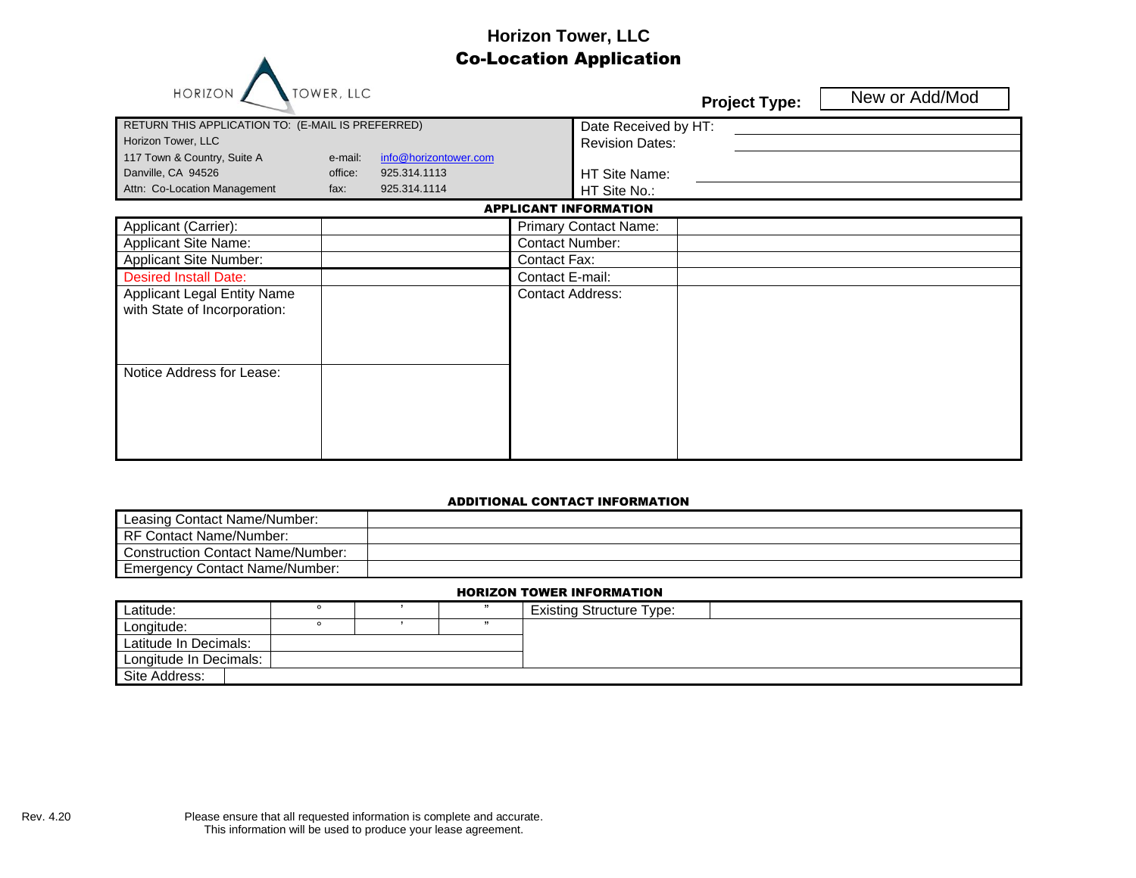# **Horizon Tower, LLC** Co-Location Application

| RETURN THIS APPLICATION TO: (E-MAIL IS PREFERRED)<br>Horizon Tower, LLC<br>117 Town & Country, Suite A<br>Danville, CA 94526<br>Attn: Co-Location Management                        | e-mail:<br>office:<br>fax: | info@horizontower.com<br>925.314.1113<br>925.314.1114 |                                                                                      | Date Received by HT:<br><b>Revision Dates:</b><br>HT Site Name:<br>HT Site No.: | <b>Project Type:</b> | New or Add/Mod |
|-------------------------------------------------------------------------------------------------------------------------------------------------------------------------------------|----------------------------|-------------------------------------------------------|--------------------------------------------------------------------------------------|---------------------------------------------------------------------------------|----------------------|----------------|
|                                                                                                                                                                                     |                            |                                                       |                                                                                      | <b>APPLICANT INFORMATION</b>                                                    |                      |                |
| Applicant (Carrier):<br><b>Applicant Site Name:</b><br>Applicant Site Number:<br><b>Desired Install Date:</b><br><b>Applicant Legal Entity Name</b><br>with State of Incorporation: |                            |                                                       | <b>Contact Number:</b><br>Contact Fax:<br>Contact E-mail:<br><b>Contact Address:</b> | <b>Primary Contact Name:</b>                                                    |                      |                |
| Notice Address for Lease:                                                                                                                                                           |                            |                                                       |                                                                                      |                                                                                 |                      |                |

### ADDITIONAL CONTACT INFORMATION

| Leasing Contact Name/Number:             |  |
|------------------------------------------|--|
| Contact Name/Number:<br>RF               |  |
| <b>Construction Contact Name/Number:</b> |  |
| <b>Emergency Contact Name/Number:</b>    |  |

### HORIZON TOWER INFORMATION

| Latitude:              |  |  |  | <b>Existing Structure Type:</b> |  |  |
|------------------------|--|--|--|---------------------------------|--|--|
| Longitude:             |  |  |  |                                 |  |  |
| Latitude In Decimals:  |  |  |  |                                 |  |  |
| Longitude In Decimals: |  |  |  |                                 |  |  |
| Site Address:          |  |  |  |                                 |  |  |

A